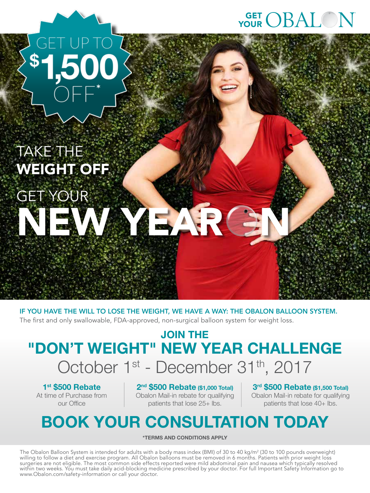## GET YOUR

TAKE THE WEIGHT OFF GET YOUR

IF YOU HAVE THE WILL TO LOSE THE WEIGHT, WE HAVE A WAY: THE OBALON BALLOON SYSTEM. The first and only swallowable, FDA-approved, non-surgical balloon system for weight loss.

October 1<sup>st</sup> - December 31<sup>th</sup>, 2017 **JOIN THE "DON'T WEIGHT" NEW YEAR CHALLENGE**

NEW YEAR

**1st \$500 Rebate** At time of Purchase from our Office

**2nd \$500 Rebate (\$1,000 Total)** Obalon Mail-in rebate for qualifying patients that lose 25+ lbs.

**3rd \$500 Rebate (\$1,500 Total)** Obalon Mail-in rebate for qualifying patients that lose 40+ lbs.

## **BOOK YOUR CONSULTATION TODAY**

**\*TERMS AND CONDITIONS APPLY**

The Obalon Balloon System is intended for adults with a body mass index (BMI) of 30 to 40 kg/m² (30 to 100 pounds overweight) willing to follow a diet and exercise program. All Obalon balloons must be removed in 6 months. Patients with prior weight loss surgeries are not eligible. The most common side effects reported were mild abdominal pain and nausea which typically resolved within two weeks. You must take daily acid-blocking medicine prescribed by your doctor. For full Important Safety Information go to www.Obalon.com/safety-information or call your doctor.